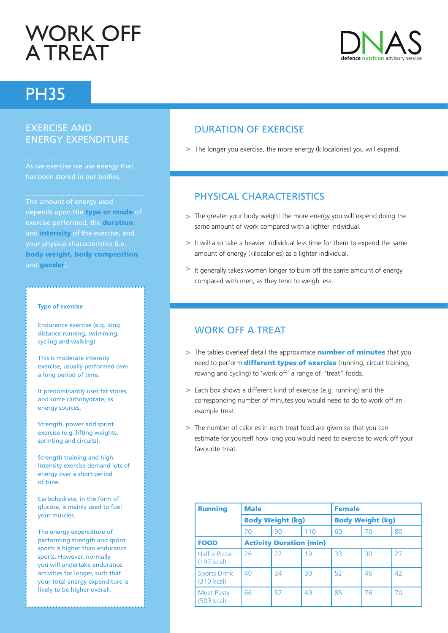# Work off **A TREAT**

## PH35

## Exercise and energy expenditure

As we exercise we use energy that

The amount of energy used depends upon the type or mode of exercise performed, the duration and intensity of the exercise, and your physical characteristics (i.e. body weight, body composition and gender).

#### **Type of exercise**

- Endurance exercise (e.g. long distance running, swimming, cycling and walking)
- This is moderate intensity exercise, usually performed over a long period of time.
- It predominantly uses fat stores, and some carbohydrate, as energy sources.
- Strength, power and sprint exercise (e.g. lifting weights, sprinting and circuits).
- Strength training and high intensity exercise demand lots of energy over a short period of time.
- Carbohydrate, in the form of glucose, is mainly used to fuel your muscles.
- The energy expenditure of performing strength and sprint sports is higher than endurance sports. However, normally you will undertake endurance activities for longer, such that your total energy expenditure is likely to be higher overall.

## Duration of exercise

> The longer you exercise, the more energy (kilocalories) you will expend.

## Physical characteristics

- > The greater your body weight the more energy you will expend doing the same amount of work compared with a lighter individual.
- > It will also take a heavier individual less time for them to expend the same amount of energy (kilocalories) as a lighter individual.
- It generally takes women longer to burn off the same amount of energy compared with men, as they tend to weigh less.

### WORK OFF A TREAT

- > The tables overleaf detail the approximate **number of minutes** that you need to perform **different types of exercise** (running, circuit training, rowing and cycling) to 'work off' a range of "treat" foods.
- > Each box shows a different kind of exercise (e.g. running) and the corresponding number of minutes you would need to do to work off an example treat.
- > The number of calories in each treat food are given so that you can estimate for yourself how long you would need to exercise to work off your favourite treat.

| <b>Running</b>                    | <b>Male</b>                    |    |                         | <b>Female</b> |    |    |
|-----------------------------------|--------------------------------|----|-------------------------|---------------|----|----|
|                                   | <b>Body Weight (kg)</b>        |    | <b>Body Weight (kg)</b> |               |    |    |
|                                   | 70                             | 90 | 110                     | 60            | 70 | 80 |
| <b>FOOD</b>                       | <b>Activity Duration (min)</b> |    |                         |               |    |    |
| Half a Pizza<br>$(197$ kcal)      | 26                             | 22 | 19                      | 33            | 30 | 27 |
| <b>Sports Drink</b><br>(310 kcal) | 40                             | 34 | 30                      | 52            | 46 | 42 |
| <b>Meat Pasty</b><br>(509 kcal)   | 66                             | 57 | 49                      | 85            | 76 | 70 |